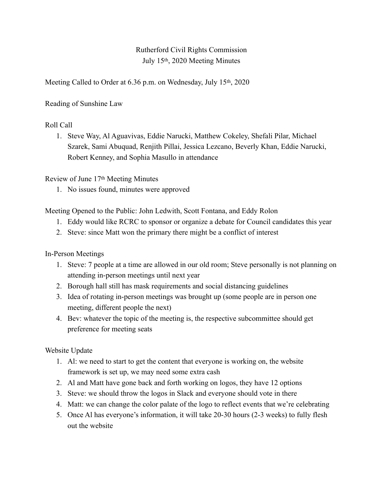Rutherford Civil Rights Commission July 15th, 2020 Meeting Minutes

Meeting Called to Order at 6.36 p.m. on Wednesday, July 15<sup>th</sup>, 2020

Reading of Sunshine Law

## Roll Call

1. Steve Way, Al Aguavivas, Eddie Narucki, Matthew Cokeley, Shefali Pilar, Michael Szarek, Sami Abuquad, Renjith Pillai, Jessica Lezcano, Beverly Khan, Eddie Narucki, Robert Kenney, and Sophia Masullo in attendance

Review of June 17th Meeting Minutes

1. No issues found, minutes were approved

Meeting Opened to the Public: John Ledwith, Scott Fontana, and Eddy Rolon

- 1. Eddy would like RCRC to sponsor or organize a debate for Council candidates this year
- 2. Steve: since Matt won the primary there might be a conflict of interest

In-Person Meetings

- 1. Steve: 7 people at a time are allowed in our old room; Steve personally is not planning on attending in-person meetings until next year
- 2. Borough hall still has mask requirements and social distancing guidelines
- 3. Idea of rotating in-person meetings was brought up (some people are in person one meeting, different people the next)
- 4. Bev: whatever the topic of the meeting is, the respective subcommittee should get preference for meeting seats

Website Update

- 1. Al: we need to start to get the content that everyone is working on, the website framework is set up, we may need some extra cash
- 2. Al and Matt have gone back and forth working on logos, they have 12 options
- 3. Steve: we should throw the logos in Slack and everyone should vote in there
- 4. Matt: we can change the color palate of the logo to reflect events that we're celebrating
- 5. Once Al has everyone's information, it will take 20-30 hours (2-3 weeks) to fully flesh out the website